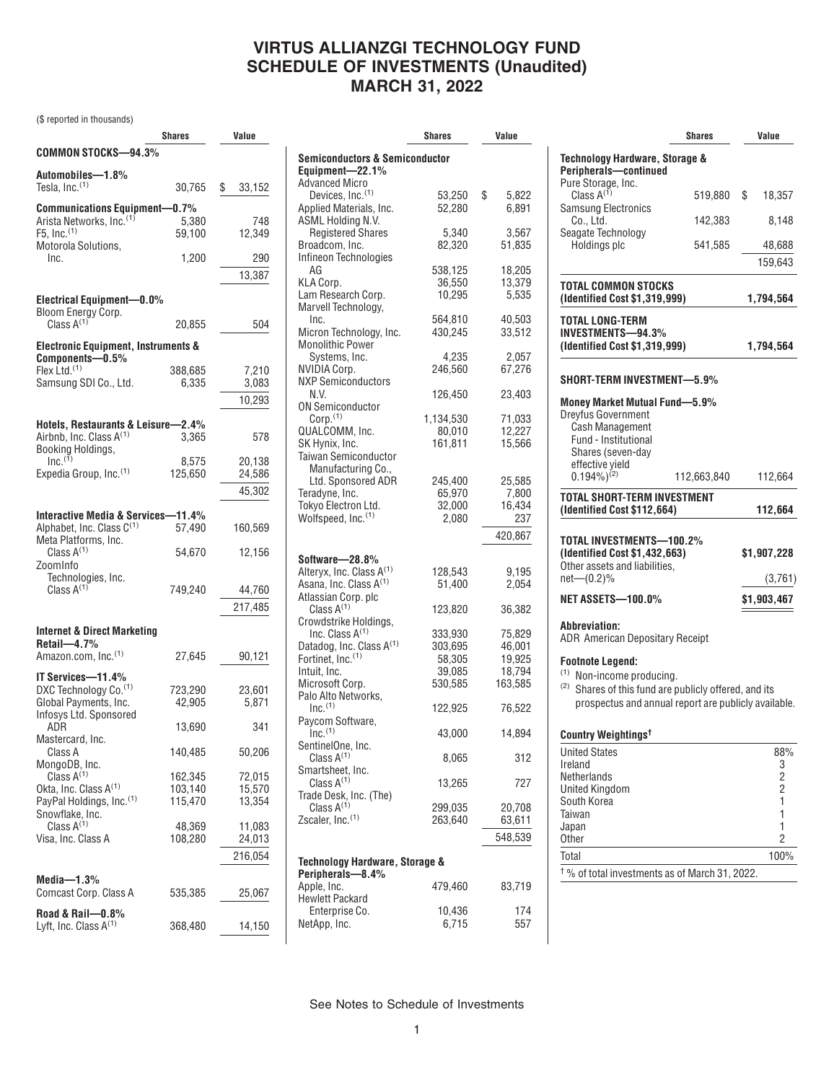### **VIRTUS ALLIANZGI TECHNOLOGY FUND SCHEDULE OF INVESTMENTS (Unaudited) MARCH 31, 2022**

(\$ reported in thousands)

|                                                                 | Shares             | Value            |
|-----------------------------------------------------------------|--------------------|------------------|
| <b>COMMON STOCKS-94.3%</b>                                      |                    |                  |
| Automobiles-1.8%                                                |                    |                  |
| Tesla, Inc. <sup>(1)</sup>                                      | 30,765             | \$<br>33,152     |
| Communications Equipment-0.7%                                   |                    |                  |
| Arista Networks, Inc. <sup>(1)</sup>                            | 5,380              | 748              |
| $F5$ , Inc. $(1)$                                               | 59,100             | 12,349           |
| Motorola Solutions,<br>Inc.                                     | 1,200              | 290              |
|                                                                 |                    | 13,387           |
|                                                                 |                    |                  |
| <b>Electrical Equipment-0.0%</b>                                |                    |                  |
| Bloom Energy Corp.<br>Class $A^{(1)}$                           | 20,855             | 504              |
| <b>Electronic Equipment, Instruments &amp;</b>                  |                    |                  |
| Components-0.5%                                                 |                    |                  |
| Flex Ltd. $(1)$                                                 | 388,685            | 7,210            |
| Samsung SDI Co., Ltd.                                           | 6,335              | 3,083            |
|                                                                 |                    | 10,293           |
| Hotels, Restaurants & Leisure-                                  | -2.4%              |                  |
| Airbnb, Inc. Class A <sup>(1)</sup>                             | 3,365              | 578              |
| Booking Holdings,<br>Inc. <sup>(1)</sup>                        | 8,575              | 20.138           |
| Expedia Group, Inc. <sup>(1)</sup>                              | 125,650            | 24,586           |
|                                                                 |                    | 45,302           |
|                                                                 |                    |                  |
| Interactive Media & Services-11.4%<br>Alphabet, Inc. Class C(1) | 57,490             |                  |
| Meta Platforms, Inc.                                            |                    | 160,569          |
| Class $A^{(1)}$                                                 | 54,670             | 12,156           |
| ZoomInfo                                                        |                    |                  |
| Technologies, Inc.<br>Class $A^{(1)}$                           | 749,240            | 44,760           |
|                                                                 |                    | 217,485          |
|                                                                 |                    |                  |
| Internet & Direct Marketing<br>$Retail$ -4.7%                   |                    |                  |
| Amazon.com, Inc. <sup>(1)</sup>                                 | 27,645             | 90,121           |
| IT Services-11.4%                                               |                    |                  |
| DXC Technology Co. <sup>(1)</sup>                               | 723,290            | 23,601           |
| Global Payments, Inc.                                           | 42,905             | 5.871            |
| Infosys Ltd. Sponsored                                          |                    |                  |
| ADR<br>Mastercard, Inc.                                         | 13,690             | 341              |
| Class A                                                         | 140,485            | 50,206           |
| MongoDB, Inc.                                                   |                    |                  |
| Class $A^{(1)}$<br>Okta, Inc. Class A <sup>(1)</sup>            | 162,345<br>103,140 | 72,015<br>15,570 |
| PayPal Holdings, Inc.(1)                                        | 115,470            | 13,354           |
| Snowflake, Inc.                                                 |                    |                  |
| Class $A^{(1)}$<br>Visa, Inc. Class A                           | 48,369<br>108,280  | 11,083<br>24,013 |
|                                                                 |                    | 216,054          |
|                                                                 |                    |                  |
| Media $-1.3\%$                                                  |                    |                  |
| Comcast Corp. Class A                                           | 535,385            | 25,067           |
| Road & Rail-0.8%                                                |                    |                  |
| Lyft, Inc. Class $A^{(1)}$                                      | 368,480            | 14,150           |

|                                                         | Shares            | Value                |  |
|---------------------------------------------------------|-------------------|----------------------|--|
| <b>Semiconductors &amp; Semiconductor</b>               |                   |                      |  |
| Equipment-22.1%                                         |                   |                      |  |
| <b>Advanced Micro</b>                                   |                   |                      |  |
| Devices, Inc. <sup>(1)</sup><br>Applied Materials, Inc. | 53,250<br>52,280  | \$<br>5,822<br>6,891 |  |
| ASML Holding N.V.                                       |                   |                      |  |
| <b>Registered Shares</b>                                | 5,340             | 3,567                |  |
| Broadcom, Inc.                                          | 82,320            | 51,835               |  |
| Infineon Technologies                                   |                   |                      |  |
| AG<br>KLA Corp.                                         | 538,125<br>36,550 | 18,205<br>13,379     |  |
| Lam Research Corp.                                      | 10,295            | 5,535                |  |
| Marvell Technology,                                     |                   |                      |  |
| Inc.                                                    | 564,810           | 40,503               |  |
| Micron Technology, Inc.                                 | 430,245           | 33,512               |  |
| <b>Monolithic Power</b><br>Systems, Inc.                |                   |                      |  |
| NVIDIA Corp.                                            | 4,235<br>246,560  | 2,057<br>67,276      |  |
| <b>NXP Semiconductors</b>                               |                   |                      |  |
| N.V.                                                    | 126,450           | 23,403               |  |
| <b>ON Semiconductor</b>                                 |                   |                      |  |
| Corp. <sup>(1)</sup>                                    | 1,134,530         | 71,033               |  |
| QUALCOMM, Inc.                                          | 80,010            | 12,227               |  |
| SK Hynix, Inc.<br>Taiwan Semiconductor                  | 161,811           | 15,566               |  |
| Manufacturing Co.,                                      |                   |                      |  |
| Ltd. Sponsored ADR                                      | 245,400           | 25,585               |  |
| Teradyne, Inc.                                          | 65,970            | 7,800                |  |
| Tokyo Electron Ltd.                                     | 32,000            | 16,434               |  |
| Wolfspeed, Inc.(1)                                      | 2,080             | 237                  |  |
|                                                         |                   | 420,867              |  |
| Software-28.8%                                          |                   |                      |  |
| Alteryx, Inc. Class A <sup>(1)</sup>                    | 128,543           | 9,195                |  |
| Asana, Inc. Class A <sup>(1)</sup>                      | 51,400            | 2,054                |  |
| Atlassian Corp. plc                                     |                   |                      |  |
| Class $A^{(1)}$                                         | 123,820           | 36,382               |  |
| Crowdstrike Holdings,<br>Inc. Class A <sup>(1)</sup>    | 333,930           | 75,829               |  |
| Datadog, Inc. Class A <sup>(1)</sup>                    | 303,695           | 46,001               |  |
| Fortinet, Inc. <sup>(1)</sup>                           | 58,305            | 19,925               |  |
| Intuit, Inc.                                            | 39,085            | 18,794               |  |
| Microsoft Corp.                                         | 530,585           | 163,585              |  |
| Palo Alto Networks,                                     |                   |                      |  |
| Inc. <sup>(1)</sup><br>Paycom Software,                 | 122,925           | 76,522               |  |
| $Inc.$ <sup>(1)</sup>                                   | 43,000            | 14,894               |  |
| SentinelOne, Inc.                                       |                   |                      |  |
| Class $A^{(1)}$                                         | 8,065             | 312                  |  |
| Smartsheet, Inc.                                        |                   |                      |  |
| Class $A^{(1)}$                                         | 13,265            | 727                  |  |
| Trade Desk, Inc. (The)<br>Class $A^{(1)}$               | 299,035           | 20,708               |  |
| Zscaler, Inc. <sup>(1)</sup>                            | 263,640           | 63,611               |  |
|                                                         |                   | 548,539              |  |
|                                                         |                   |                      |  |
| Technology Hardware, Storage &                          |                   |                      |  |
| Peripherals-8.4%                                        |                   |                      |  |
| Apple, Inc.<br><b>Hewlett Packard</b>                   | 479,460           | 83,719               |  |
| Enterprise Co.                                          | 10,436            | 174                  |  |
| NetApp, Inc.                                            | 6,715             | 557                  |  |

|                                                                                                                                                                                     | <b>Shares</b> | Value                                                                               |
|-------------------------------------------------------------------------------------------------------------------------------------------------------------------------------------|---------------|-------------------------------------------------------------------------------------|
| <b>Technology Hardware, Storage &amp;</b><br>Peripherals-continued                                                                                                                  |               |                                                                                     |
| Pure Storage, Inc.<br>Class $A^{(1)}$<br><b>Samsung Electronics</b>                                                                                                                 | 519.880       | \$<br>18,357                                                                        |
| Co., Ltd.<br>Seagate Technology                                                                                                                                                     | 142,383       | 8,148                                                                               |
| Holdings plc                                                                                                                                                                        | 541,585       | 48,688                                                                              |
|                                                                                                                                                                                     |               | 159,643                                                                             |
| TOTAL COMMON STOCKS<br>(Identified Cost \$1,319,999)                                                                                                                                |               | 1,794,564                                                                           |
| TOTAL LONG-TERM<br>INVESTMENTS—94.3%<br>(Identified Cost \$1,319,999)                                                                                                               |               | 1,794,564                                                                           |
| SHORT-TERM INVESTMENT-5.9%                                                                                                                                                          |               |                                                                                     |
| <b>Money Market Mutual Fund-5.9%</b><br>Dreyfus Government<br><b>Cash Management</b><br>Fund - Institutional<br>Shares (seven-day<br>effective yield                                |               |                                                                                     |
| $0.194\%$ <sup>(2)</sup>                                                                                                                                                            | 112,663,840   | 112,664                                                                             |
| TOTAL SHORT-TERM INVESTMENT<br>(Identified Cost \$112,664)                                                                                                                          |               | 112,664                                                                             |
| TOTAL INVESTMENTS-100.2%<br>(Identified Cost \$1,432,663)<br>Other assets and liabilities,                                                                                          |               | \$1,907,228                                                                         |
| $net-(0.2)%$<br>NET ASSETS—100.0%                                                                                                                                                   |               | (3,761)<br>\$1,903,467                                                              |
|                                                                                                                                                                                     |               |                                                                                     |
| Abbreviation:<br><b>ADR American Depositary Receipt</b>                                                                                                                             |               |                                                                                     |
| <b>Footnote Legend:</b><br><sup>(1)</sup> Non-income producing.<br>(2)<br>Shares of this fund are publicly offered, and its<br>prospectus and annual report are publicly available. |               |                                                                                     |
| Country Weightings <sup>t</sup>                                                                                                                                                     |               |                                                                                     |
| <b>United States</b><br>Ireland<br>Netherlands<br>United Kingdom<br>South Korea<br>Taiwan                                                                                           |               | 88%<br>$\begin{array}{c} 3 \\ 2 \\ 2 \end{array}$<br>$\overline{1}$<br>$\mathbf{1}$ |
| Japan<br><b>Other</b>                                                                                                                                                               |               | 1<br>$\overline{2}$                                                                 |
| Total                                                                                                                                                                               |               | 100%                                                                                |

 $\dagger$ % of total investments as of March 31, 2022.

See Notes to Schedule of Investments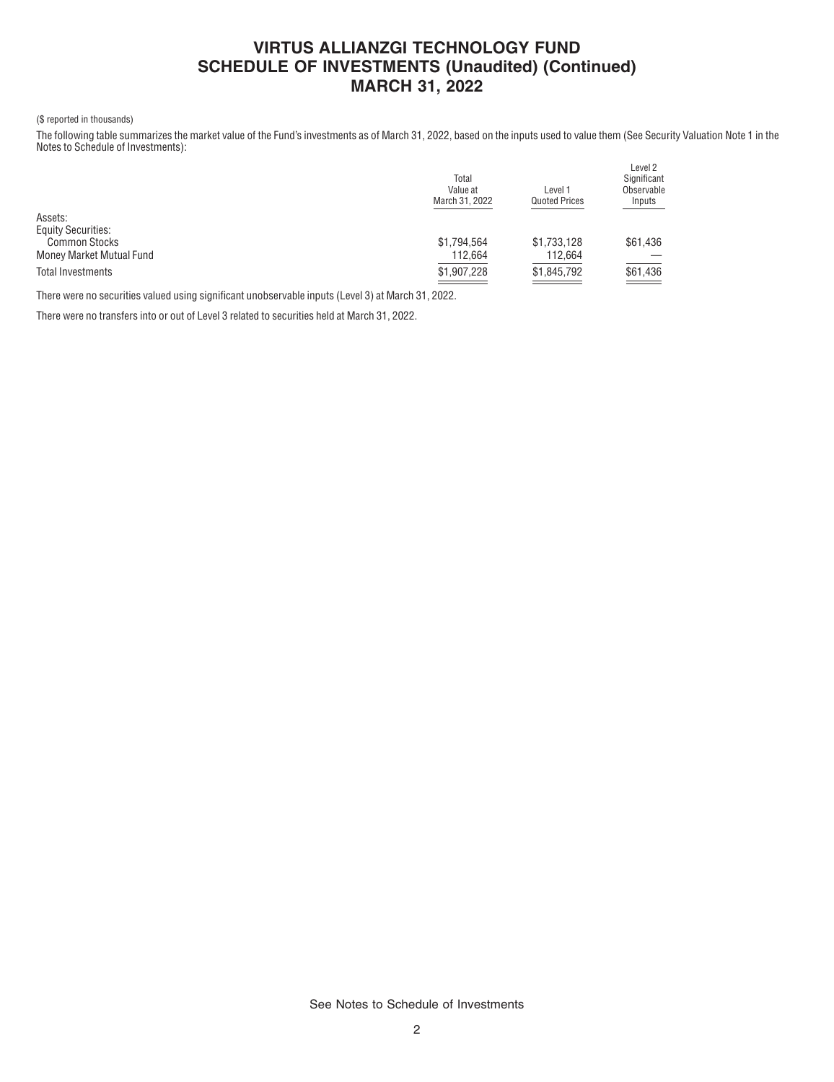# **VIRTUS ALLIANZGI TECHNOLOGY FUND SCHEDULE OF INVESTMENTS (Unaudited) (Continued) MARCH 31, 2022**

### (\$ reported in thousands)

The following table summarizes the market value of the Fund's investments as of March 31, 2022, based on the inputs used to value them (See Security Valuation Note 1 in the Notes to Schedule of Investments):

|                           | Total<br>Value at<br>March 31, 2022 | Level 1<br><b>Quoted Prices</b> | Level <sub>2</sub><br>Significant<br>Observable<br>Inputs |
|---------------------------|-------------------------------------|---------------------------------|-----------------------------------------------------------|
| Assets:                   |                                     |                                 |                                                           |
| <b>Equity Securities:</b> |                                     |                                 |                                                           |
| <b>Common Stocks</b>      | \$1,794,564                         | \$1,733,128                     | \$61,436                                                  |
| Money Market Mutual Fund  | 112.664                             | 112.664                         |                                                           |
| <b>Total Investments</b>  | \$1,907,228                         | \$1,845,792                     | \$61,436<br><u>time</u>                                   |

There were no securities valued using significant unobservable inputs (Level 3) at March 31, 2022.

There were no transfers into or out of Level 3 related to securities held at March 31, 2022.

See Notes to Schedule of Investments